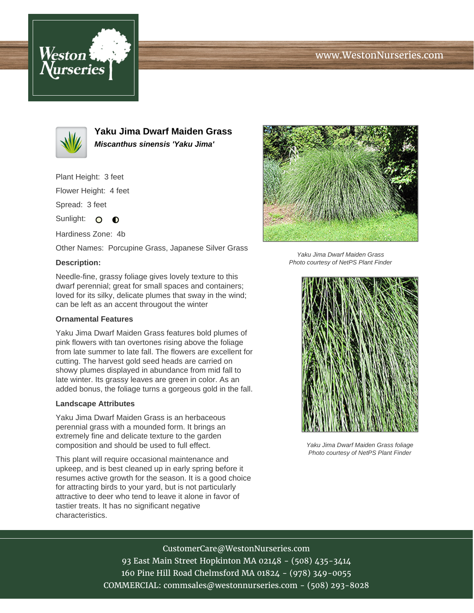# www.WestonNurseries.com





**Yaku Jima Dwarf Maiden Grass Miscanthus sinensis 'Yaku Jima'**

Plant Height: 3 feet

Flower Height: 4 feet

Spread: 3 feet

Sunlight:  $\mathbf{O}$  $\bullet$ 

Hardiness Zone: 4b

Other Names: Porcupine Grass, Japanese Silver Grass

#### **Description:**

Needle-fine, grassy foliage gives lovely texture to this dwarf perennial; great for small spaces and containers; loved for its silky, delicate plumes that sway in the wind; can be left as an accent througout the winter

### **Ornamental Features**

Yaku Jima Dwarf Maiden Grass features bold plumes of pink flowers with tan overtones rising above the foliage from late summer to late fall. The flowers are excellent for cutting. The harvest gold seed heads are carried on showy plumes displayed in abundance from mid fall to late winter. Its grassy leaves are green in color. As an added bonus, the foliage turns a gorgeous gold in the fall.

#### **Landscape Attributes**

Yaku Jima Dwarf Maiden Grass is an herbaceous perennial grass with a mounded form. It brings an extremely fine and delicate texture to the garden composition and should be used to full effect.

This plant will require occasional maintenance and upkeep, and is best cleaned up in early spring before it resumes active growth for the season. It is a good choice for attracting birds to your yard, but is not particularly attractive to deer who tend to leave it alone in favor of tastier treats. It has no significant negative characteristics.



Yaku Jima Dwarf Maiden Grass Photo courtesy of NetPS Plant Finder



Yaku Jima Dwarf Maiden Grass foliage Photo courtesy of NetPS Plant Finder

## CustomerCare@WestonNurseries.com

93 East Main Street Hopkinton MA 02148 - (508) 435-3414 160 Pine Hill Road Chelmsford MA 01824 - (978) 349-0055 COMMERCIAL: commsales@westonnurseries.com - (508) 293-8028